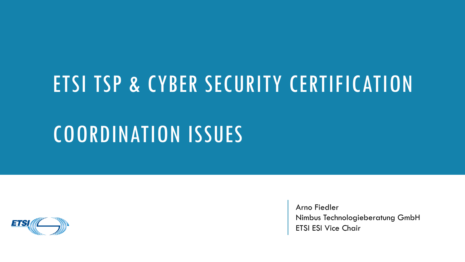#### ETSI TSP & CYBER SECURITY CERTIFICATION

#### COORDINATION ISSUES



Arno Fiedler Nimbus Technologieberatung GmbH ETSI ESI Vice Chair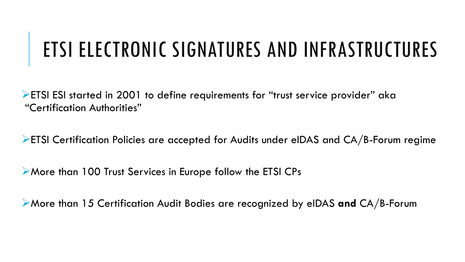#### ETSI ELECTRONIC SIGNATURES AND INFRASTRUCTURES

ETSI ESI started in 2001 to define requirements for "trust service provider" aka "Certification Authorities"

ETSI Certification Policies are accepted for Audits under eIDAS and CA/B-Forum regime

More than 100 Trust Services in Europe follow the ETSI CPs

More than 15 Certification Audit Bodies are recognized by eIDAS **and** CA/B-Forum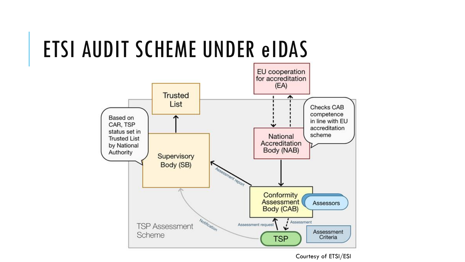## ETSI AUDIT SCHEME UNDER eIDAS



Courtesy of ETSI/ESI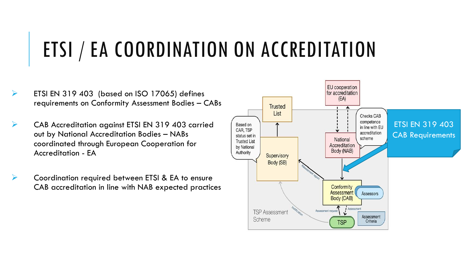## ETSI / EA COORDINATION ON ACCREDITATION

- $\triangleright$  ETSI EN 319 403 (based on ISO 17065) defines requirements on Conformity Assessment Bodies – CABs
- CAB Accreditation against ETSI EN 319 403 carried out by National Accreditation Bodies – NABs coordinated through European Cooperation for Accreditation - EA
	- Coordination required between ETSI & EA to ensure CAB accreditation in line with NAB expected practices

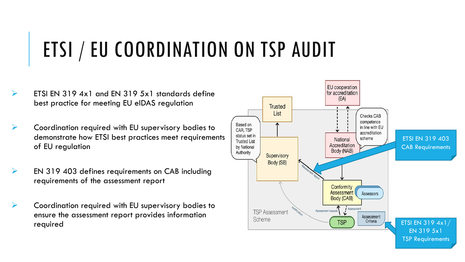# ETSI / EU COORDINATION ON TSP AUDIT

- $\triangleright$  ETSI EN 319 4x1 and EN 319 5x1 standards define best practice for meeting EU eIDAS regulation
- $\triangleright$  Coordination required with EU supervisory bodies to demonstrate how ETSI best practices meet requirements of EU regulation
- $\triangleright$  EN 319 403 defines requirements on CAB including requirements of the assessment report
- Coordination required with EU supervisory bodies to ensure the assessment report provides information

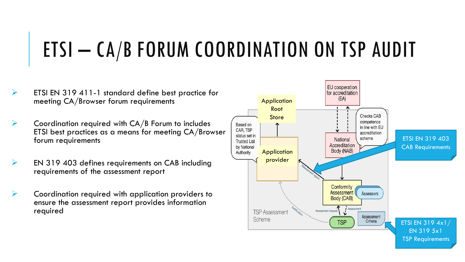### ETSI – CA/B FORUM COORDINATION ON TSP AUDIT

- $\triangleright$  ETSI EN 319 411-1 standard define best practice for meeting CA/Browser forum requirements
- $\triangleright$  Coordination required with CA/B Forum to includes ETSI best practices as a means for meeting CA/Browser forum requirements
- $\triangleright$  EN 319 403 defines requirements on CAB including requirements of the assessment report
- Coordination required with application providers to ensure the assessment report provides information required

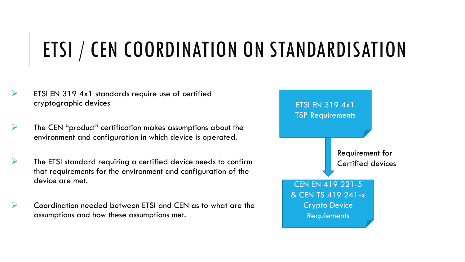# ETSI / CEN COORDINATION ON STANDARDISATION

- $\triangleright$  ETSI EN 319 4x1 standards require use of certified cryptographic devices
- $\triangleright$  The CEN "product" certification makes assumptions about the environment and configuration in which device is operated.
- $\triangleright$  The ETSI standard requiring a certified device needs to confirm that requirements for the environment and configuration of the device are met.
- Coordination needed between ETSI and CEN as to what are the assumptions and how these assumptions met.

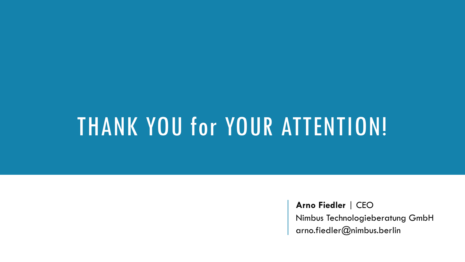# THANK YOU for YOUR ATTENTION!

**Arno Fiedler** | CEO

Nimbus Technologieberatung GmbH arno.fiedler@nimbus.berlin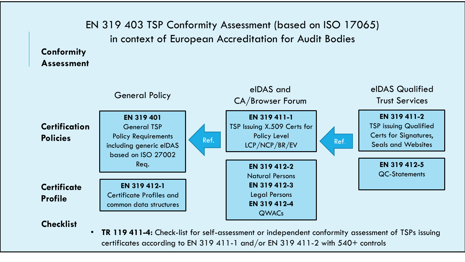EN 319 403 TSP Conformity Assessment (based on ISO 17065) in context of European Accreditation for Audit Bodies

#### **Conformity Assessment**



#### **Checklist**

• **TR 119 411-4:** Check-list for self-assessment or independent conformity assessment of TSPs issuing certificates according to EN 319 411-1 and/or EN 319 411-2 with 540+ controls